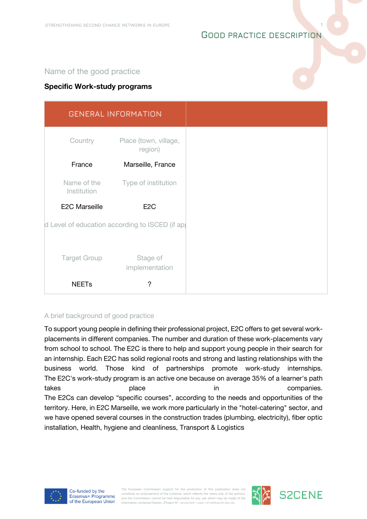# **GOOD PRACTICE DESCRIPTION**

**1**

# Name of the good practice

## **Specific Work-study programs**

|                                                 | <b>GENERAL INFORMATION</b>       |
|-------------------------------------------------|----------------------------------|
| Country                                         | Place (town, village,<br>region) |
| France                                          | Marseille, France                |
| Name of the<br>Institution                      | Type of institution              |
| <b>E2C Marseille</b>                            | E <sub>2</sub> C                 |
| d Level of education according to ISCED (if ap) |                                  |
|                                                 |                                  |
| <b>Target Group</b>                             | Stage of<br>implementation       |
| <b>NEETs</b>                                    | ?                                |

#### A brief background of good practice

To support young people in defining their professional project, E2C offers to get several workplacements in different companies. The number and duration of these work-placements vary from school to school. The E2C is there to help and support young people in their search for an internship. Each E2C has solid regional roots and strong and lasting relationships with the business world. Those kind of partnerships promote work-study internships. The E2C's work-study program is an active one because on average 35% of a learner's path takes **place** place in takes place place in takes **companies**. The E2Cs can develop "specific courses", according to the needs and opportunities of the territory. Here, in E2C Marseille, we work more particularly in the "hotel-catering" sector, and we have opened several courses in the construction trades (plumbing, electricity), fiber optic installation, Health, hygiene and cleanliness, Transport & Logistics



The European Commission support for the production of this publication does no constitute an endorsement of the contents, which reflects the views only of the authors and the Commission cannot be held responsible for any use which may be made of the information contained therein. (Project Nº.: 621535-EPP-1-2020-1-PT-EPPKA3-IPI-SOC-IN).



**S2CENE**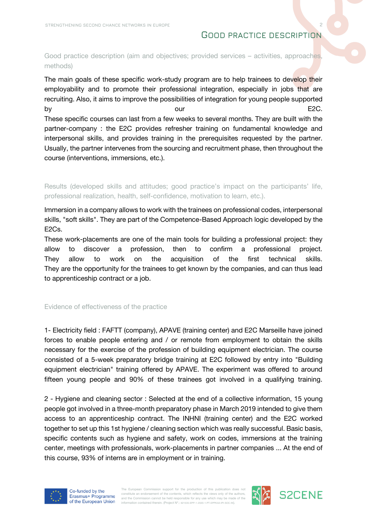# **GOOD PRACTICE DESCRIPTION**

**2**

## Good practice description (aim and objectives; provided services – activities, approaches, methods)

The main goals of these specific work-study program are to help trainees to develop their employability and to promote their professional integration, especially in jobs that are recruiting. Also, it aims to improve the possibilities of integration for young people supported by by the contract of the contract of the contract of the contract of the contract of the E2C. These specific courses can last from a few weeks to several months. They are built with the partner-company : the E2C provides refresher training on fundamental knowledge and interpersonal skills, and provides training in the prerequisites requested by the partner. Usually, the partner intervenes from the sourcing and recruitment phase, then throughout the course (interventions, immersions, etc.).

Results (developed skills and attitudes; good practice's impact on the participants' life, professional realization, health, self-confidence, motivation to learn, etc.).

Immersion in a company allows to work with the trainees on professional codes, interpersonal skills, "soft skills". They are part of the Competence-Based Approach logic developed by the E2Cs.

These work-placements are one of the main tools for building a professional project: they allow to discover a profession, then to confirm a professional project. They allow to work on the acquisition of the first technical skills. They are the opportunity for the trainees to get known by the companies, and can thus lead to apprenticeship contract or a job.

#### Evidence of effectiveness of the practice

1- Electricity field : FAFTT (company), APAVE (training center) and E2C Marseille have joined forces to enable people entering and / or remote from employment to obtain the skills necessary for the exercise of the profession of building equipment electrician. The course consisted of a 5-week preparatory bridge training at E2C followed by entry into "Building equipment electrician" training offered by APAVE. The experiment was offered to around fifteen young people and 90% of these trainees got involved in a qualifying training.

2 - Hygiene and cleaning sector : Selected at the end of a collective information, 15 young people got involved in a three-month preparatory phase in March 2019 intended to give them access to an apprenticeship contract. The INHNI (training center) and the E2C worked together to set up this 1st hygiene / cleaning section which was really successful. Basic basis, specific contents such as hygiene and safety, work on codes, immersions at the training center, meetings with professionals, work-placements in partner companies ... At the end of this course, 93% of interns are in employment or in training.



The European Commission support for the production of this publication does no constitute an endorsement of the contents, which reflects the views only of the authors and the Commission cannot be held responsible for any use which may be made of the information contained therein. (Project Nº.: 621535-EPP-1-2020-1-PT-EPPKA3-IPI-SOC-IN).



**S2CENE**